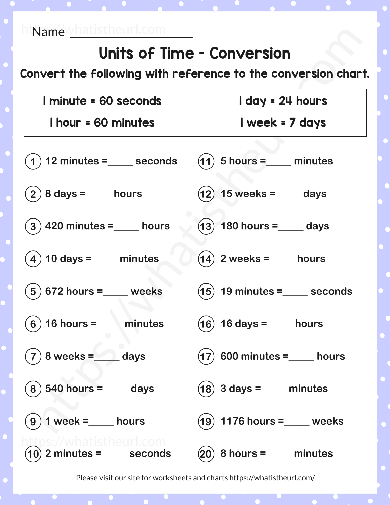## Units of Time - Conversion

Convert the following with reference to the conversion chart.

| I minute = 60 seconds                                      | I day = 24 hours                        |
|------------------------------------------------------------|-----------------------------------------|
| <b>I hour = 60 minutes</b>                                 | I week = 7 days                         |
| $(1)$ 12 minutes = $\_\_\_\_\$ seconds                     | $(11)$ 5 hours = minutes                |
| $(2)$ 8 days =_____ hours                                  | $(12)$ 15 weeks = ____ days             |
| $\mathbf{(3)}$ 420 minutes =____ hours                     | $(13)$ 180 hours = ____ days            |
| $(4)$ 10 days = $\_\_\_\_\_\$ minutes                      | $(14)$ 2 weeks = $\_\_\_\_\_\$ hours    |
| $(5)$ 672 hours = $\_\_\_\_\$ weeks                        | $(15)$ 19 minutes = $\_\_\_\_\$ seconds |
| $(6)$ 16 hours = $\_\_\_\_\_\$ minutes                     | $(16)$ 16 days = $\_\_$ hours           |
| $8$ weeks = $\qquad$ days<br>$\overline{\mathbf{7}}$       | $(17)$ 600 minutes =_____ hours         |
| $540$ hours = $\_\_$ days                                  | $(18)$ 3 days =____ minutes             |
| 1 week =____ hours<br>9                                    | $(19)$ 1176 hours = weeks               |
| )s://whatistheurl.com<br>$(10)$ 2 minutes = $\_\_$ seconds | $(20)$ 8 hours = $\_\_\_\_\_\$ minutes  |

Please visit our site for worksheets and charts https://whatistheurl.com/